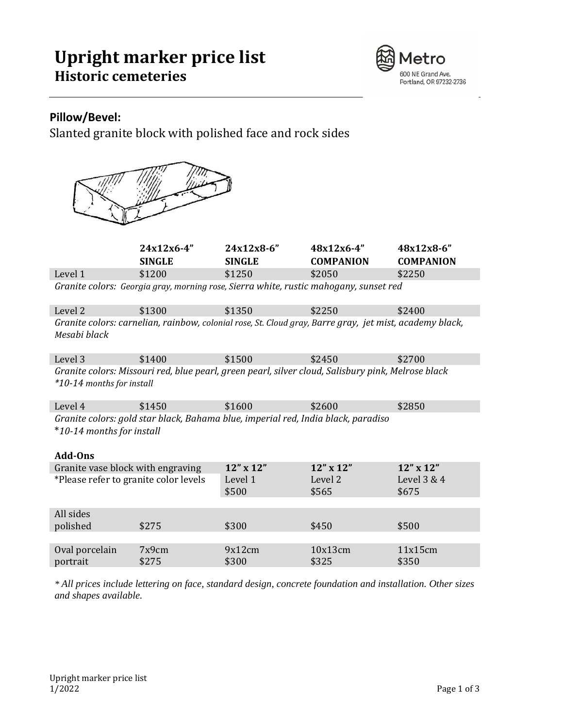# **Upright marker price list Historic cemeteries**



### **Pillow/Bevel:**

Slanted granite block with polished face and rock sides



|                                                                                                                                 | 24x12x6-4"<br><b>SINGLE</b> | $24x12x8-6"$<br><b>SINGLE</b> | $48x12x6-4"$<br><b>COMPANION</b> | 48x12x8-6"<br><b>COMPANION</b> |  |
|---------------------------------------------------------------------------------------------------------------------------------|-----------------------------|-------------------------------|----------------------------------|--------------------------------|--|
| Level 1                                                                                                                         | \$1200                      | \$1250                        | \$2050                           | \$2250                         |  |
| Granite colors: Georgia gray, morning rose, Sierra white, rustic mahogany, sunset red                                           |                             |                               |                                  |                                |  |
| Level 2                                                                                                                         | \$1300                      | \$1350                        | \$2250                           | \$2400                         |  |
| Granite colors: carnelian, rainbow, colonial rose, St. Cloud gray, Barre gray, jet mist, academy black,<br>Mesabi black         |                             |                               |                                  |                                |  |
| Level 3                                                                                                                         | \$1400                      | \$1500                        | \$2450                           | \$2700                         |  |
| Granite colors: Missouri red, blue pearl, green pearl, silver cloud, Salisbury pink, Melrose black<br>*10-14 months for install |                             |                               |                                  |                                |  |
| Level 4                                                                                                                         | \$1450                      | \$1600                        | \$2600                           | \$2850                         |  |
| Granite colors: gold star black, Bahama blue, imperial red, India black, paradiso<br>*10-14 months for install<br>Add-Ons       |                             |                               |                                  |                                |  |
| Granite vase block with engraving                                                                                               |                             | 12" x 12"                     | 12" x 12"                        | 12" x 12"                      |  |
| *Please refer to granite color levels                                                                                           |                             | Level 1<br>\$500              | Level 2<br>\$565                 | Level 3 & 4<br>\$675           |  |
| All sides<br>polished                                                                                                           | \$275                       | \$300                         | \$450                            | \$500                          |  |
| Oval porcelain<br>portrait                                                                                                      | 7x9cm<br>\$275              | 9x12cm<br>\$300               | 10x13cm<br>\$325                 | 11x15cm<br>\$350               |  |

*\* All prices include lettering on face, standard design, concrete foundation and installation. Other sizes and shapes available.*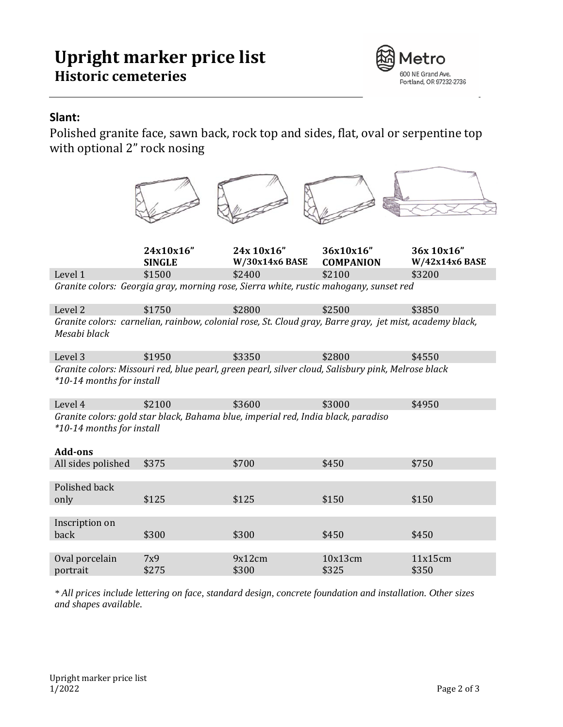# **Upright marker price list Historic cemeteries**



### **Slant:**

Polished granite face, sawn back, rock top and sides, flat, oval or serpentine top with optional 2" rock nosing

|                                                                                                                                  | 24x10x16"                                                                                               | 24x 10x16"      | 36x10x16"        | 36x 10x16"       |  |  |
|----------------------------------------------------------------------------------------------------------------------------------|---------------------------------------------------------------------------------------------------------|-----------------|------------------|------------------|--|--|
|                                                                                                                                  | <b>SINGLE</b>                                                                                           | W/30x14x6 BASE  | <b>COMPANION</b> | W/42x14x6 BASE   |  |  |
| Level 1                                                                                                                          | \$1500                                                                                                  | \$2400          | \$2100           | \$3200           |  |  |
|                                                                                                                                  | Granite colors: Georgia gray, morning rose, Sierra white, rustic mahogany, sunset red                   |                 |                  |                  |  |  |
| Level <sub>2</sub>                                                                                                               | \$1750                                                                                                  | \$2800          | \$2500           | \$3850           |  |  |
| Mesabi black                                                                                                                     | Granite colors: carnelian, rainbow, colonial rose, St. Cloud gray, Barre gray, jet mist, academy black, |                 |                  |                  |  |  |
| Level 3                                                                                                                          | \$1950                                                                                                  | \$3350          | \$2800           | \$4550           |  |  |
| Granite colors: Missouri red, blue pearl, green pearl, silver cloud, Salisbury pink, Melrose black<br>*10-14 months for install  |                                                                                                         |                 |                  |                  |  |  |
| Level 4                                                                                                                          | \$2100                                                                                                  | \$3600          | \$3000           | \$4950           |  |  |
| Granite colors: gold star black, Bahama blue, imperial red, India black, paradiso<br>*10-14 months for install<br><b>Add-ons</b> |                                                                                                         |                 |                  |                  |  |  |
| All sides polished                                                                                                               | \$375                                                                                                   | \$700           | \$450            | \$750            |  |  |
| Polished back<br>only                                                                                                            | \$125                                                                                                   | \$125           | \$150            | \$150            |  |  |
| Inscription on<br>back                                                                                                           | \$300                                                                                                   | \$300           | \$450            | \$450            |  |  |
|                                                                                                                                  |                                                                                                         |                 |                  |                  |  |  |
| Oval porcelain<br>portrait                                                                                                       | 7x9<br>\$275                                                                                            | 9x12cm<br>\$300 | 10x13cm<br>\$325 | 11x15cm<br>\$350 |  |  |
|                                                                                                                                  |                                                                                                         |                 |                  |                  |  |  |

*\* All prices include lettering on face, standard design, concrete foundation and installation. Other sizes and shapes available.*